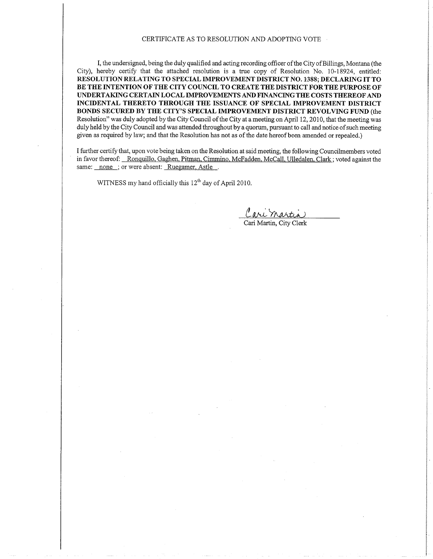#### CERTIFICATE AS TO RESOLUTION AND ADOPTING VOTE

I, the undersigned, being the duly qualified and acting recording offrcer of the City of Billings, Montana (the City), hereby certify that the attached resolution is a true copy of Resolution No. 10-18924, entitled: RESOLUTION RELATING TO SPECIAL IMPROVEMENT DISTRICT NO. 1388; DECLARING IT TO BE THE INTENTION OF THE CITY COUNCIL TO CREATE THE DISTRICT FOR THE PURPOSE OF UNDERTAKING CERTAIN LOCAL IMPROVEMENTS AND FINANCING THE COSTS THEREOF AND INCIDENTAL THERETO THROUGH THE ISSUANCE OF SPECIAL IMPROVEMENT DISTRICT BONDS SECURED BY THE CITY'S SPECIAL IMPROVEMENT DISTRICT REVOLVING FUND (the Resolution" was duly adopted by the City Council of the City at a meeting on April 12, 2010, that the meeting was duly held by the City Council and was attended throughout by a quorum, pursuant to call and notice of such meeting given as required by law; and that the Resolution has not as of the date hereof been amended or repealed.)

I further certify that, upon vote being taken on the Resolution at said meeting, the following Councilmembers voted in favor thereof: Ronquillo, Gaghen, Pitman, Cimmino, McFadden, McCall, Ulledalen, Clark; voted against the same: none ; or were absent: Ruegamer, Astle.

WITNESS my hand officially this  $12<sup>th</sup>$  day of April 2010.

are <u>martin</u> Cari Martin. Citv Clerk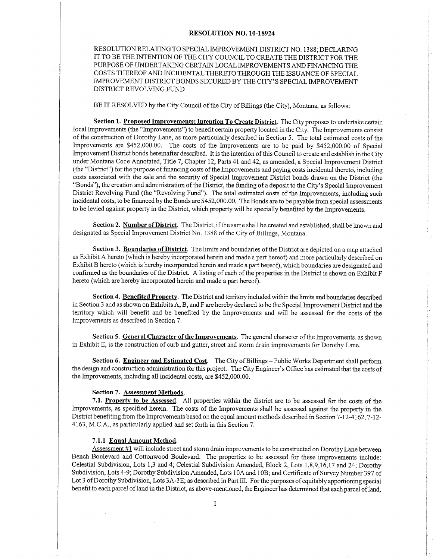#### RESOLUTION NO. IO-I8924

RESOLUTION RELATING TO SPECIAL MPROVEMENT DISTRICT NO. 1 <sup>3</sup>88; DECLARING IT TO BE THE INTENTION OF THE CITY COUNCIL TO CREATE THE DISTRICT FOR THE PURPOSE OF UNDERTAKING CERTAIN LOCAI IMPROVEMENTS AND FINANCING THE COSTS THEREOF AND INCIDENTAL THERETO THROUGH THE ISSUANCE OF SPECIAL IMPROVEMENT DISTRICT BONDS SECURED BY THE CITY'S SPECIAL IMPROVEMENT DISTRICT REVOLVING FUND

BE IT RESOLVED by the City Council of the City of Billings (the City), Montana, as follows:

Section 1. Proposed Improvements: Intention To Create District. The City proposes to undertake certain local Improvements (the "Improvements") to benefit certain property located in the City. The Improvements consist of the construction of Dorothy Lane, as more particularly described in Section 5. The total estimated costs of the Improvements are \$452,000.00. The costs of the lmprovements are to be paid by \$452,000.00 of Special Improvement District bonds hereinafter described. It is the intention of this Council to create and establish in the City under Montana Code Annotated, Title 7, Chapter 12, Parts 4l and 42, as amended, a Special Improvement District (the "District") for the purpose of financing costs of the Improvements and paying costs incidental thereto, including costs associated with the sale and the security of Special Improvement Diskict bonds drawn on the District (the "Bonds"), the creation and administration of the District, the funding of a deposit to the City's Special Improvement District Revolving Fund (the "Revolving Fund"). The total estimated costs of the Improvements, including such incidental costs, to be financed by the Bonds are \$452,000.00. The Bonds are to be payable from special assessments to be levied against property in the District, which property will be specially benefited by the Improvements.

Section 2. Number of District. The District, if the same shall be created and established, shall be known and designated as Special Improvement District No. 1388 of the City of Billings, Montana.

Section 3. Boundaries of District. The limits and boundaries of the District are depicted on a map attached as Exhibit A hereto (which is hereby incorporated herein and made a part hereof) and more particularly described on Exhibit B hereto (which is hereby incorporated herein and made a part hereof), which boundaries are designated and confirmed as the boundaries of the District. A listing of each of the properties in the District is shown on Exhibit F hereto (which are hereby incorporated herein and made a part hereof).

Section 4. Benefited Property. The District and territory included within the limits and boundaries described in Section 3 and as shown on Exhibits A, B, and F are hereby declared to be the Special Improvement District and the territory which will benefit and be benefited by the Improvements and will be assessed for the costs of the Improvements as described in Section 7.

Section 5. General Character of the Improvements. The general character of the Improvements, as shown in Exhibit E, is the construction of curb and gutter, street and storm drain improvements for Dorothy Lane.

Section 6. Engineer and Estimated Cost. The City of Billings - Public Works Department shall perform the design and construction administration for this project. The City Engineer's Office has estimated that the costs of the lmprovements, including all incidental costs, are \$452,000.00.

#### Section 7. Assessment Methods.

7.1. Property to be Assessed. All properties within the district are to be assessed for the costs of the Improvements, as specified herein. The costs of the Improvements shall be assessed against the property in the District benefiting from the Improvements based on the equal amount methods described in Section 7-12-4162.7-12-4163, M.C.A., as particulariy applied and set forth in this Section 7.

#### 7.1.1 Equal Amount Method.

Assessment #1 will include street and storm drain improvements to be constructed on Dorothy Lane between Bench Boulevard and Cottonwood Boulevard. The properties to be assessed for these improvements include: Celestial Subdivision, Lots 1,3 and 4; Celestial Subdivision Amended, Block 2, Lots 1,8,9,16,17 and 24; Dorothy Subdivision, Lots 4=9; Dorothy Subdivision Amended, Lots 10A and 10B; and Certificate of Survey Number 397 of Lot 3 of Dorothy Subdivision, Lots 3A-3E; as described in Part III. For the purposes of equitably apportioning special benefit to each parcel of land in the District, as above-mentioned, the Engineer has determined that each parcel of land,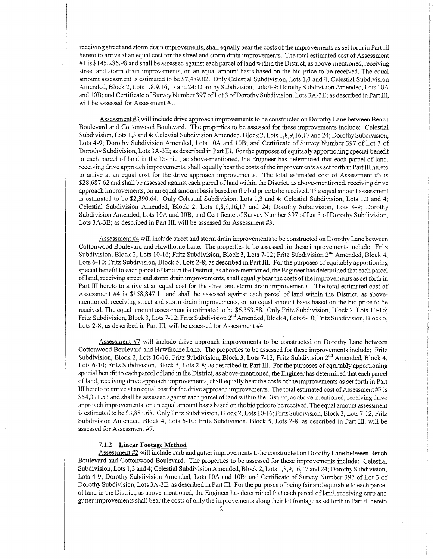receiving street and storm drain improvements, shall equallybear the costs of the improvements as set forth in Part III hereto to arrive at an equal cost for the street and storm drain improvements. The total estimated cost of Assessment #l is \$ 145,286.98 and shall be assessed against each parcel of land within the District, as above-mentioned, receiving street and storm drain improvements, on an equal amount basis based on the bid price to be received. The equal amount assessment is estimated to be \$7,489.02. Only Celestial Subdivision, Lots 1,3 and 4; Celestial Subdivision Amended, Block 2, Lots 1,8,9,16,17 and 24; Dorothy Subdivision, Lots 4-9; Dorothy Subdivision Amended, Lots 10A and 108; and Certificate of Survey Number 397 of Lot 3 of Dorothy Subdivision, Lots 3A-3E; as described in Part III, will be assessed for Assessment #i.

Assessment #3 wiil include drive approach improvements to be constructed on Dorothy Lane between Bench Boulevard and Cottonwood Boulevard. The properties to be assessed for these improvements include: Celestial Subdivision, Lots 1,3 and 4; Celestial Subdivision Amended, Block 2, Lots 1,8,9,16,17 and 24; Dorothy Subdivision, Lots 4-9; Dorothy Subdivision Amended, Lots 10A and 10B; and Certificate of Survey Number 397 of Lot 3 of Dorothy Subdivision, Lots 3A-3E; as described in Part III. For the purposes of equitably apportioning special benefit to each parcel of land in the District, as above-mentioned, the Engineer has determined that each parcel of land, receiving drive approach improvernents, shall equally bear the costs of the improvements as set forth in Part III hereto to arrive at an equal cost for the drive approach improvements. The total estimated cost of Assessment #3 is \$28,687.62 and shall be assessed against each parcel of land within the District, as above-mentioned, receiving drive approach improvements, on an equal amount basis based on the bid price to be received. The equal amount assessment is estimated to be \$2,390.64. Only Celestial Subdivision, Lots 1,3 and 4; Celestial Subdivision, Lots 1,3 and 4; Celestial Subdivision Amended, Block 2, Lots 1,8,9,16,17 and 24; Dorothy Subdivision, Lots 4-9; Dorothy Subdivision Amended, Lots 10A and 10B; and Certificate of Survey Number 397 of Lot 3 of Dorothy Subdivision, Lots 3A-3E; as described in Part IIL will be assessed for Assessment #3.

Assessment #4 will include street and storm drain improvements to be constructed on Dorothy Lanebetween Cottonwood Boulevard and Hawthome Lane. The properties to be assessed for these improvements include: Fritz Subdivision, Block 2, Lots 10-16; Fritz Subdivision, Block 3, Lots 7-12; Fritz Subdivision 2<sup>nd</sup> Amended, Block 4, Lots 6-10; Fritz Subdivision, Block 5, Lots 2-8; as described in Part III. For the purposes of equitably apportioning special benefit to each parcel of land in the District, as above-mentioned, the Engineer has determined that each parcel of land, receiving street and storm drain improvements, shall equallybear the costs of the improvements as set forth in Part III hereto to arrive at an equal cost for the street and storm drain improvements. The total estimated cost of Assessment #4 is \$158,847.11 and shall be assessed against each parcel of land within the District, as abovementioned, receiving street and storm drain improvements, on an equal amount basis based on the bid price to be received. The equal amount assessment is estimated to be \$6,353.88. Only Fritz Subdivision, Block 2, Lots 10-16; Fritz Subdivision, Block 3, Lots 7-12; Fritz Subdivision 2<sup>nd</sup> Amended, Block 4, Lots 6-10; Fritz Subdivision, Block 5, Lots 2-8; as described in Part III, will be assessed for Assessment #4.

Assessment #7 will include drive approach improvements to be constructed on Dorothy Lane between Cottonwood Boulevard and Hawthome Lane. The properties to be assessed for these improvements include: Fritz Subdivision, Block 2, Lots 10-16; Fritz Subdivision, Block 3, Lots 7-12; Fritz Subdivision 2<sup>nd</sup> Amended, Block 4, Lots 6-10; Fritz Subdivision, Block 5, Lots 2-8; as described in Part III. For the purposes ofequitably apportioning special benefit to each parcel of land in the District, as above-mentioned, the Engineer has determined that each parcel of land, receiving drive approach improvements, shall equally bear the costs of the improvements as set forth in Part III hereto to arrive at an equal cost for the drive approach improvements. The total estimated cost of Assessment #7 is 554,371.53 and shall be assessed against each parcel of land within the District, as above-mentioned, receiving drive approach improvements, on an equal amount basis based on the bid price to be received. The equal amount assessment is estimated to be \$3,883.68. Only Fritz Subdivision, Block 2, Lots 10-16; Fritz Subdivision, Block 3, Lots 7-12; Fritz Subdivision Amended, Block 4, Lots 6-10; Fritz Subdivision, Block 5, Lots 2-8; as described in Part III, will be assessed for Assessment #7.

#### 7.1.2 Linear Footage Method

Assessment #2 will include curb and gutter improvements to be constructed on Dorothy Lane befween Bench Boulevard and Cottonwood Boulevard. The properties to be assessed for these improvements include: Celestial Subdivision, Lots 1,3 and 4; Celestial Subdivision Amended, Block 2, Lots 1,8,9,16,17 and 24; Dorothy Subdivision, Lots 4-9; Dorothy Subdivision Amended, Lots 10A and 10B; and Certificate of Survey Number 397 of Lot 3 of Dorothy Subdivision, Lots 3A-3E; as described in Part III. For the purposes of being fair and equitable to each parcel of land in the District, as above-mentioned, the Engineer has determined that each parcel of land, receiving curb and gutter improvements shall bear the costs of only the improvements along their lot frontage as set forth in Part III hereto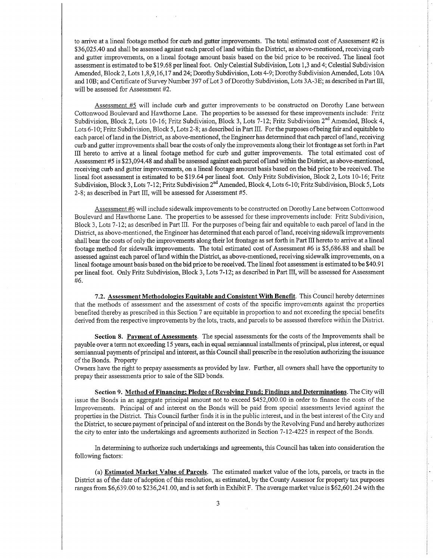to arrive at a lineal footage method for curb and gutter improvements. The total estimated cost of Assessment #2 is \$36,025.40 and shall be assessed against each parcel of land within the District, as above-mentioned, receiving curb and gutter improvements, on a lineal footage amount basis based on the bid price to be received. The lineal foot assessment is estimated to be \$19.68 per lineal foot. Only Celestial Subdivision, Lots 1,3 and 4; Celestial Subdivision Amended, Block 2, Lots 1,8,9,16,17 and 24; Dorothy Subdivision, Lots 4-9; Dorothy Subdivision Amended, Lots 10A and 10B; and Certificate of SurveyNumber 397 of Lot 3 of Dorothy Subdivision, Lots 3A-3E; as described in Part III, will be assessed for Assessment #2.

Assessment #5 will include curb and gutter improvements to be constructed on Dorothy Lane between Cottonwood Boulevard and Hawthorne Lane. The properties to be assessed for these improvements include: Fritz Subdivision, Block 2, Lots 10-16; Fritz Subdivision, Block 3, Lots 7-12; Fritz Subdivision 2<sup>nd</sup> Amended, Block 4, Lots 6-10; Fritz Subdivision, Block 5, Lots 2-8; as described in Part III. For the purposes of being fair and equitable to each parcel of land in the District, as above-mentioned, the Engineer has determined that each parcel of land, receiving curb and gutter improvements shall bear the costs of only the improvements along their lot frontage as set forth in Part III hereto to arrive at a lineal footage method for curb and gutter improvements. The total estimated cost of Assessment #5 is \$23,094.48 and shall be assessed against each parcel of land within the District, as above-mentioned, receiving curb and gutter improvements, on a lineal footage amount basis based on the bid price to be received. The lineal foot assessment is estimated to be \$19.64 per lineal foot. Only Fritz Subdivision, Block 2,Lots 10-16; Fritz Subdivision, Block 3, Lots 7-12; Fritz Subdivision  $2<sup>nd</sup>$  Amended, Block 4, Lots 6-10; Fritz Subdivision, Block 5, Lots 2-8; as described in Part III, will be assessed for Assessment #5.

Assessment #6 will include sidewalk improvements to be constructed on Dorothy Lane between Cottonwood Boulevard and Hawthome Lane. The properties to be assessed for these improvements include: Fritz Subdivision, Block 3, Lots 7-12; as described in Part III. For the purposes of being fair and equitable to each parcel of land in the District, as above-mentioned, the Engineer has determined that each parcel of land, receiving sidewalk improvements shall bear the costs of only the improvements along their lot frontage as set forth in Part III hereto to arrive at a lineal footage method for sidewalk improvements. The total estimated cost of Assessment #6 is \$5,686.88 and shall be assessed against each parcel of land within the District, as above-mentioned, receiving sidewalk improvements, on a lineal footage amount basis based on the bid price to be received. The lineal foot assessment is estimated to be \$40.91 per lineal foot. Only Fritz Subdivision, Block 3, Lots 7-12; as described in Part III, will be assessed for Assessment #6.

7.2. Assessment Methodologies Equitable and Consistent With Benefit. This Councii hereby determines that the methods of assessment and the assessment of costs of the specific improvements against the properties benefited thereby as prescribed in this Section 7 are equitable in proportion to and not exceeding the special benefrts derived from the respective improvements by the lots, tracts, and parcels to be assessed therefore within the District.

Section 8. Payment of Assessments. The special assessments for the costs of the Improvements shall be payable over a term not exceeding 15 years, each in equal semiannual installments of principal, plus interest, or equal semiannual payments of principal and interest, as this Council shall prescribe in the resolution authorizing the issuance of the Bonds. Property

Owners have the right to prepay assessments as provided by law. Further, all owners shall have the opportunity to prepay their assessments prior to sale of the SID bonds.

Section 9. Method of Financing; Pledge of Revolving Fund; Findings and Determinations. The City will issue the Bonds in an aggregate principal amount not to exceed \$452,000.00 in order to finance the costs of the Improvements. Principal of and interest on the Bonds will be paid from special assessments levied against the properties in the District. This Council fuither finds it is in the public interest, and in the best interest of the City and the District, to secure payment of principal of and interest on the Bonds by the Revolving Fund and hereby authorizes the city to enter into the undertakings and agreements authorized in Section 7-12-4225 in respect ofthe Bonds.

In determining to authorize such undertakings and agreements, this Council has taken into consideration the following factors:

(a) Estimated Market Value of Parcels. The estimated market value of the lots, parcels, or tracts in the District as of the date of adoption of this resolution, as estimated, by the County Assessor for property tax purposes ranges from \$6,639.00 to \$236,241.00, and is set forth in Exhibit F. The average market value is \$62,601.24 with the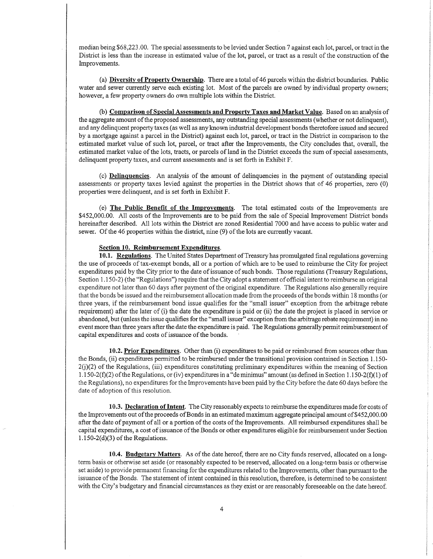median being \$68,223.00. The special assessments to be levied under Section 7 against each lot, parcel, or tract in the District is less than the increase in estimated value of the lot, parcel, or tract as a result of the construction of the Improvements.

(a) Diversity of Property Ownership. There are a total of 46 parcels within the district boundaries. Public water and sewer currently serve each existing lot. Most of the parcels are owned by individual property owners; however, a few property owners do own multiple lots within the District.

(b) Comparison of Special Assessments and Property Taxes and Market Value. Based on an analysis of the aggregate amount ofthe proposed assessments, any outstanding special assessments (whether or not delinquent), and any delinquent property taxes (as well as anyknown industrial development bonds theretofore issued and secured by a mofgage against a parcel in the District) against each lot, parcel, or tract in the District in comparison to the estimated market value of such lot, parcel, or tract after the Improvements, the City concludes that, overall, the estimated market value of the lots, tracts, or parcels of land in the District exceeds the sum of special assessments, delinquent property taxes, and current assessments and is set forth in Exhibit F.

(c) Delinquencies. An analysis of the amount of delinquencies in the payment of outstanding special assessments or properry taxes levied against the properties in the District shows that of 46 properties, zero (0) properties were delinquent, and is set forth in Exhibit F.

(e) The Public Benefit of the Improvements. The total estimated costs of the Improvements are S452,000.00. All costs of the Improvements are to be paid from the sale of Special Improvement District bonds hereinafter described. All lots within the District are zoned Residential 7000 and have access to public water and sewer. Of the 46 properties within the district, nine (9) of the lots are currently vacant.

#### Section 10. Reimbursement Expenditures.

10.1. Regulations. The United States Department of Treasury has promulgated final regulations governing the use of proceeds of tax-exempt bonds, all or a portion of which are to be used to reimburse the City for project expenditures paid by the City prior to the date of issuance of such bonds. Those regulations (Treasury Regulations, Section 1.150-2) (the "Regulations") require that the City adopt a statement of official intent to reimburse an original expenditure not later than 60 days after payment of the original expenditure. The Regulations also generally require that the bonds be issued and the reimbursement allocation made from the proceeds of the bonds within 18 months (or three years, if the reimbursement bond issue qualifies for the "small issuer" exception from the arbitrage rebate requirement) after the later of (i) the date the expenditure is paid or (ii) the date the project is placed in service or abandoned, but (unless the issue qualifies for the "small issuer" exception from the arbitrage rebate requirement) in no event more than three years after the date the expenditure is paid. The Regulations generally permit reimbursement of capital expenditures and costs of issuance of the bonds.

10.2. Prior Expenditures. Other than (i) expenditures to be paid or reimbursed from sources other than the Bonds, (ii) expenditures permitted to be reimbursed under the transitional provision contained in Section L 150-  $2(j)(2)$  of the Regulations, (iii) expenditures constituting preliminary expenditures within the meaning of Section 1.150-2( $f(2)$ ) of the Regulations, or (iv) expenditures in a "deminimus" amount (as defined in Section 1.150-2( $f(1)$ ) of the Regulations), no expenditures for the Improvements have been paid by the City before the date 60 days before the date of adoption of this resolution.

10.3. Declaration of Intent. The City reasonably expects to reimburse the expenditures made for costs of the Improvements out of the proceeds of Bonds in an estimated maximum aggregate principal amount of \$452,000.00 after the date of payrnent of all or a portion of the costs of the Improvements. All reimbursed expenditures shall be capital expenditures, a cost of issuance of the Bonds or other expenditures eligible for reimbursement under Section  $1.150-2(d)(3)$  of the Regulations.

10.4. Budgetary Matters. As of the date hereof, there are no City funds reserved, allocated on a longterm basis or otherwise set aside (or reasonably expected to be reserved, allocated on a long-term basis or otherwise set aside) to provide permanent financing for the expendifures related to the Improvements, other than pursuant to the issuance of the Bonds. The statement of intent contained in this resolution, therefore, is determined to be consistent with the City's budgetary and financial circumstances as they exist or are reasonably foreseeable on the date hereof.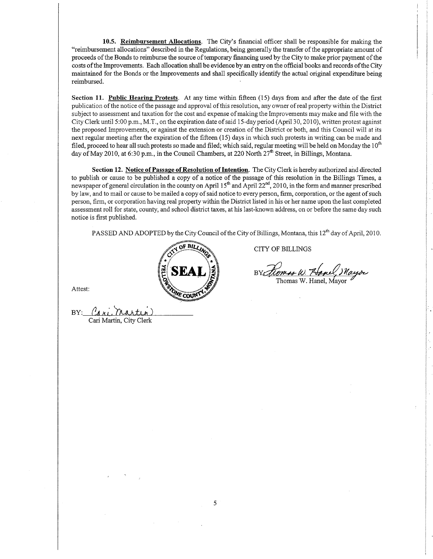10.5. Reimbursement Allocations. The City's financial officer shall be responsible for making the "reimbursement allocations" described in the Regulations, being generally the transfer of the appropriate amount of proceeds of the Bonds to reimburse the source of temporary financing used by the City to make prior payment of the costs ofthe Improvements. Each allocation shall be evidence by an entry on the official books and records ofthe City maintained for the Bonds or the Improvements and shall specifically identify the actual original expenditure being reimbursed.

Section 11. Public Hearing Protests. At any time within fifteen (15) days from and after the date of the first publication ofthe notice ofthe passage and approval ofthis resolution, any owner ofreal property within the District subject to assessment and taxation for the cost and expense of making the Improvements may make and file with the City Clerk until 5:00 p.m., M.T., on the expiration date of said 15-day period (Aprii 30, 2010), written protest against the proposed Improvements, or against the extension or creation of the District or both, and this Council will at its next regular meeting after the expiration of the fifteen (15) days in which such protests in writing can be made and filed, proceed to hear all such protests so made and filed; which said, regular meeting will be held on Monday the  $10^{th}$ day of May 2010, at 6:30 p.m., in the Council Chambers, at 220 North 27<sup>th</sup> Street, in Billings, Montana.

Section 12. Notice of Passage of Resolution of Intention. The City Clerk is hereby authorized and directed to publish or cause to be published a copy of a notice of the passage of this resolution in the Billings Times, a newspaper of general circulation in the county on April 15<sup>th</sup> and April 22<sup>nd</sup>, 2010, in the form and manner prescribed by law, and to mail or cause to be mailed a copy of said notice to every person, firm, corporation, or the agent of such person, firm, or corporation having real property within the District listed in his or her name upon the last completed assessment roll for state, county, and school district taxes, at his last-known address, on or before the same day such notice is first published.

PASSED AND ADOPTED by the City Council of the City of Billings, Montana, this 12<sup>th</sup> day of April, 2010.



CITY OF BILLINGS

Thomas W. Hanel, Mayor

Attest:

BY: Cari Martin) Cari Martin, City Clerk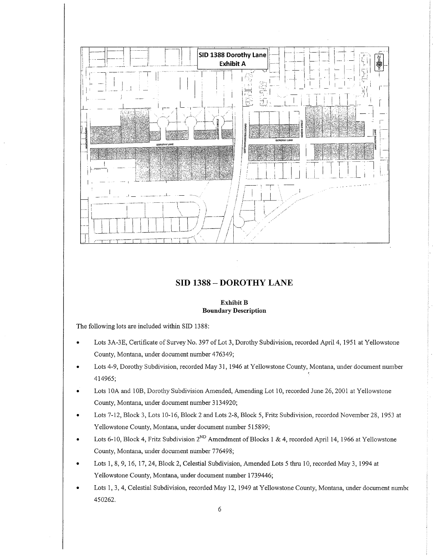

#### SID 1388 \_ DOROTHY LANE

#### Exhibit B Boundary Description

The following lots are included within SID 1388:

- Lots 3A-3E, Certificate of Survey No. 397 of Lot 3, Dorothy Subdivision, recorded April 4, 1951 at Yellowstone County, Montana, under document number 476349;
- Lots 4-9, Dorothy Subdivision, recorded May 31, 1946 at Yellowstone County, Montana, under document number 414965;
- Lots 104 and 108, Dorothy Subdivision Amended, Amending Lot 10, recorded Iune26,2001 at Yellowstone County, Montana, under document number 3134920;
- Lots 7-12, Block 3, Lots 10-16, Block 2 and Lots 2-8, Block 5, Fritz Subdivision, recorded November 28, 1953 at  $\bullet$ Yellowstone County, Montana, under document number 515899;
- Lots 6-10, Block 4, Fritz Subdivision  $2^{ND}$  Amendment of Blocks 1 & 4, recorded April 14, 1966 at Yellowstone County, Montana, under document number 776498;
- Lots 1, 8, 9, 16, 17, 24, Block 2, Celestial Subdivision, Amended Lots 5 thru 10, recorded May 3, 1994 at Yellowstone County, Montana, under document number 1739446;
- Lots 1, 3, 4, Celestial Subdivision, recorded May 12, 1949 at Yellowstone County, Montana, under document numbe 450262.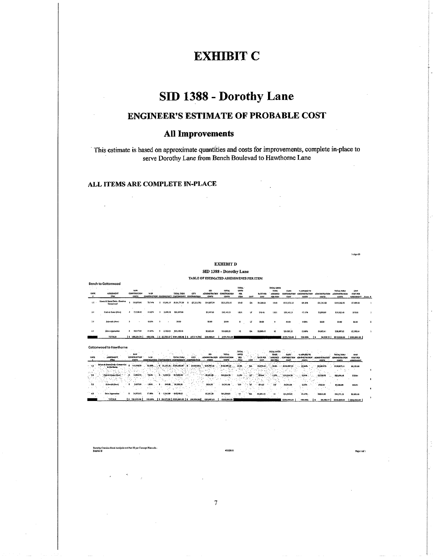# **EXHIBIT C**

# SID 1388 - Dorothy Lane

### **ENGINEER'S ESTIMATE OF PROBABLE COST**

### **All Improvements**

This estimate is based on approximate quantities and costs for improvements, complete in-place to serve Dorothy Lane from Bench Boulevad to Hawthorne Lane

#### ALL ITEMS ARE COMPLETE IN-PLACE

 $\ddot{\phantom{a}}$ 

|                                            |                                                     |                                              |                  |                                                   |                     |                                              |                                            |                                              |                                                |              |                                |                                                         |                                       |                                                    |                               |                                                     | $1-Apr-10$                                          |                          |
|--------------------------------------------|-----------------------------------------------------|----------------------------------------------|------------------|---------------------------------------------------|---------------------|----------------------------------------------|--------------------------------------------|----------------------------------------------|------------------------------------------------|--------------|--------------------------------|---------------------------------------------------------|---------------------------------------|----------------------------------------------------|-------------------------------|-----------------------------------------------------|-----------------------------------------------------|--------------------------|
|                                            |                                                     |                                              |                  |                                                   |                     |                                              |                                            | <b>EXHIBIT D</b>                             |                                                |              |                                |                                                         |                                       |                                                    |                               |                                                     |                                                     |                          |
|                                            |                                                     |                                              |                  |                                                   |                     |                                              |                                            | SID 1388 - Dorothy Lane                      |                                                |              |                                |                                                         |                                       |                                                    |                               |                                                     |                                                     |                          |
|                                            | TABLE OF ESTIMATED ASSESSMENTS PER ITEM             |                                              |                  |                                                   |                     |                                              |                                            |                                              |                                                |              |                                |                                                         |                                       |                                                    |                               |                                                     |                                                     |                          |
|                                            | <b>Bench to Cottonwood</b>                          |                                              |                  |                                                   |                     |                                              |                                            |                                              |                                                |              |                                |                                                         |                                       |                                                    |                               |                                                     |                                                     |                          |
| CODE                                       | ASSESSATIVT<br>max                                  | 8.497<br><b>CONSTRUCTION</b><br><b>COSTS</b> | #O               | CONSTRUCTION CONTINUENCY CONTINUENCY CONTRIBUTION | <b>TOTAL THRU</b>   | CITY                                         | \$30<br>ADMONSTRATION<br>COSTS             | <b>TOTAL</b><br><b>CONSTRUCTION</b><br>com   | TOTAL.<br><b>UNITS</b><br>PER.<br><b>TTEM</b>  | <b>LINUT</b> | <b>RATE TER</b><br>UHIT        | TOTAL UNITS<br>TO BE<br><b>ASSECTD</b><br>FER ITEM      | CASH<br><b>CONTRIBUTION</b><br>COST   | <b><i>WATLED TO</i></b><br>ADMINISTRATION<br>COSTS | <b>ADMANSTRATION</b><br>costs | TOTAL THRU<br><b>ADJUNISTRATION</b><br>COSTS        | LOCIT<br><b>COST PER</b><br>ASSESSMENT Asml. #      |                          |
| EE -                                       | Streets & Stores Drain - Bench to<br>Cottompod      | $\mathbf{z}$<br>116675.81                    | 73,74%           | \$ 17,501.37 \$134,177.20                         |                     | (27,111.79)<br>$\mathbf{r}$                  | \$14,507,74                                | \$121,573.15                                 | 19.40                                          | EA           | \$6,766.66                     | 19.10                                                   | \$121,571.15                          | 69.18%                                             | \$23,713.82                   | \$145,286.98                                        | 57,419.02                                           | ×                        |
| 21                                         | Curb & Gyver (New)                                  | $\mathbf{r}$<br>23,128.42                    | 14,6215          | з.<br>3,469.26                                    | \$26,597.68         |                                              | \$1,517.63                                 | \$30,145.31                                  | 1,831                                          | LF           | \$16.46                        | 1.831                                                   | \$10,145.31                           | 17.15%                                             | \$5,880.09                    | \$36,035.40                                         | \$19.61                                             |                          |
| 3.1                                        | Sidewalk (New)                                      | л.                                           | 0.00%            | -5                                                | \$9,00              |                                              | \$0.00                                     | \$0.00                                       | ۰                                              | LF           | \$1.00                         | $\theta$                                                | \$9,00                                | 0.00%                                              | \$0.00                        | \$0.00                                              | \$0.00                                              | x                        |
| 4.1                                        | Drive Approaches                                    | 10.417.54<br>з.                              | 11.64%           | \$                                                | 2,762.63 521,180.18 |                                              | \$2,825.04                                 | \$21,005.21                                  | 12                                             | EA.          | \$2,000,43                     | $\mathbf{12}$                                           | \$24,005.21                           | 13,66%                                             | \$4,632.41                    | 111,687.62                                          | \$2,390,64                                          |                          |
|                                            | <b>TOTALS</b>                                       | 1: 168.221.79                                | 100,00%          |                                                   |                     | \$23,733.27 \$181,955.06 \$ (27.111.79)      | \$20,010.41                                | \$175,723.68                                 |                                                |              |                                |                                                         | \$175,723.68                          | 100,00%                                            | 34,276,32<br>×.               | \$210,000.00                                        | \$210,000.00                                        |                          |
|                                            | <b>Cottonwood to Hawthorne</b>                      |                                              |                  |                                                   |                     |                                              |                                            |                                              |                                                |              |                                |                                                         |                                       |                                                    |                               |                                                     |                                                     |                          |
| CODS.                                      | ASSESSMENT<br><b>STEW</b>                           | $-144$<br>CONSTRUCTION<br><b>COSTS</b>       | $2400 -$         | CONSTRUCTION CONTINGENCY CONTINUENCY CONTRIBUTION | TOTAL TIRU          | <b>CITY</b>                                  | sm.<br>-ADMINISTRATION<br><b>A</b><br>cosm | <b>TOTAL</b><br>CONSTRUCTION<br><b>COSTS</b> | TOTAL.<br>LIGHTS<br>$\mathbf{m}$<br><b>TEM</b> | uim          | <b>BATE PER</b><br><b>UNIT</b> | <b>JOTAL UNITS</b><br>TOBE<br>ASSESSED<br><b>MRTIDI</b> | CASIL-<br><b>CONTRIBUTION</b><br>COST | SAPPLED TO<br>ADMINISTRATION<br><b>COSTS</b>       | KORK TETRATION<br>COSTS       | TOTAL THRU<br><b>ADMINISTRATION</b><br><b>COSTS</b> | <b>UNIT</b><br><b>COST PER</b><br><b>ASSESSMENT</b> |                          |
| 112                                        | Streets & Sterra Drain Concerwood<br>to Hey theme - | Ŧ<br>141,022.69                              |                  |                                                   |                     |                                              | $-252, 259, 19$                            | \$132,987,35                                 | -25.00                                         | ᆳ            | \$5,319.49                     |                                                         | 25.00 - - - - - 5132,987,35           | 65.64%                                             | 535,859,76                    | \$158,847,11                                        | 56,353,88<br>$\sim$                                 |                          |
| 45.12<br>22<br>$\mathcal{L}_{\mathcal{L}}$ | Carb & Outer (New)                                  | 14:551.74<br>۰. \$                           | 7.64%            | $3 - 2.23321$                                     | 1217.012.95         |                                              | $-52.231.83$                               | $-519,334,75$                                | 1.176                                          | °.18°        | 316.44                         | 1.176                                                   | 1419114.78                            | $-2.54%$                                           | \$3,759.70                    | \$20,094,41                                         | \$19.64                                             |                          |
| -32                                        | Sidewalk (New)                                      | 3,657.89<br>$\cdot$                          | 1,83%<br>$\cdot$ | <b>S</b> .                                        | 548.68 54 205.58    |                                              | 1554.50                                    | \$4,761,08                                   | 119                                            | `uF          | $7 + 134.25$                   | 139 <sup>3</sup>                                        | \$4,761.08                            | 2,35%                                              | 5125,81                       | \$5,666.81<br>$\sim$                                | \$40.91                                             |                          |
| 42                                         | Drive Approaches                                    | 34,972,63<br>5.                              | 17,92%           | \$ \$245.09                                       | \$10,218.53         |                                              | 55,301.50                                  | \$45,520.03                                  |                                                | æ.           | $-53,251,43$                   | 14                                                      | \$45,520,03                           | 22,47%                                             | 33, 131, 50                   | \$54,371.53                                         | \$3,223.63                                          | $\overline{\phantom{a}}$ |
|                                            | TOTALS                                              | 5 194,513.96                                 | 100,00%          |                                                   |                     | \$ 29.177.09   \$223.591.05   \$ (14.554.64) | \$23,867.03                                | \$202,603.23                                 |                                                |              |                                |                                                         | \$202,603,23                          | 100,00%                                            | 29.296.77<br>х.               | \$242,000.00                                        | \$242,000.00                                        |                          |

ion Bond Analysis and Part III per Concept Plans.xls -Dorothy Crea<br>Exhibit D

4/1/2010

Page i of I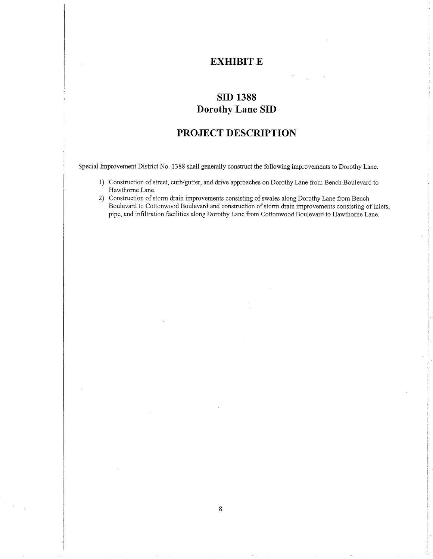### EXHIBIT E

## SID 1388 Dorothy Lane SID

### PROJECT DESCRIPTION

Special Improvement District No. 1388 shall generally construct the following improvements to Dorothy Lane.

- 1) Construction of street, curb/gutter, and drive approaches on Dorothy Lane from Bench Boulevard to Hawthome Lane.
- 2) Constructíon of storm drain improvements consisting of swales along Dorothy Lane from Bench Bouievard to Cottonwood Boulevard and construction of storm drain improvements consisting of inlets, pipe, and infiltration facilities along Dorothy Lane from Cottonwood Boulevard to Hawthome Lane.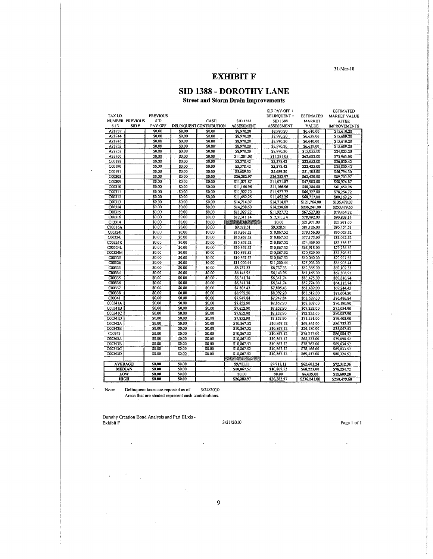$31-Mar-10$ 

### **EXHIBIT F**

### SID 1388 - DOROTHY LANE

**Street and Storm Drain Improvements** 

|                |                               |                 |        |                         |                 | SID PAY-OFF+      |                  | <b>ESTIMATED</b>    |
|----------------|-------------------------------|-----------------|--------|-------------------------|-----------------|-------------------|------------------|---------------------|
| TAX I.D.       |                               | <b>PREVIOUS</b> |        |                         |                 | DELINQUENT +      | <b>ESTIMATED</b> | <b>MARKET VALUE</b> |
|                | NUMBER PREVIOUS<br><b>SID</b> |                 |        | CASH                    | <b>SID 1388</b> | SID 1388          | <b>MARKET</b>    | <b>AFTER</b>        |
| $6 - 13$       | SID#                          | PAY-OFF         |        | DELINOUENT CONTRIBUTION | ASSESSMENT      | <b>ASSESSMENT</b> | <b>VALUE</b>     | <b>IMPROVEMENTS</b> |
| A28737         |                               | \$0.00          | \$0.00 | \$0.00                  | \$8,970.20      | \$8,970.20        | \$6,640.00       | \$15,610.20         |
| A28744         |                               | \$0.00          | \$0.00 | \$0.00                  | \$8,970.20      | \$8,970.20        | \$6,639.00       | \$15,609.20         |
| A28745         |                               | \$0.00          | \$0.00 | \$0.00                  | \$8,970.20      | \$8,970.20        | \$6,640.00       | \$15,610.20         |
| A28752         |                               | \$0.00          | \$0.00 | \$0.00                  | \$8,970.20      | \$8,970.20        | \$6,639.00       | \$15,609.20         |
| A28753         |                               | \$0.00          | \$0.00 | \$0,00                  | \$8,970.20      | \$8,970.20        | \$15,055.00      | \$24,025.20         |
| A28760         |                               | \$0.00          | \$0.00 | \$0.00                  | \$11,281,08     | \$11,281.08       | \$62,682.00      | \$73,963.08         |
| C00188         |                               | \$0.00          | \$0.00 | \$0.00                  | \$3,378.42      | \$3,378.42        | \$22,652.00      | \$26,030.42         |
| C00190         |                               | \$0.00          | \$0,00 | \$0.00                  | \$3,378.42      | \$3,378.42        | \$22,422.00      | \$25,800.42         |
| C00191         |                               | \$0.00          | \$0.00 | \$0,00                  | \$5,689.30      | \$5,689.30        | \$51,105.00      | \$56,794.30         |
| C00308         |                               | \$0.00          | \$0.00 | \$0,00                  | \$26,282.97     | \$26,282.97       | \$63,420.00      | \$89,702.97         |
| C00309         |                               | \$0,00          | \$0,00 | \$0.00                  | \$11,071.87     | \$11,071.87       | \$47,903,00      | \$58,974.87         |
| C00310         |                               | \$0.00          | \$0.00 | \$0.00                  | \$11,166.96     | \$11,166,96       | \$50,284.00      | \$61,450,96         |
| C00311         |                               | \$0.00          | \$0.00 | \$0,00                  | \$11.927.72     | \$11,927.72       | \$66,327.00      | \$78,254.72         |
| C00312         |                               | \$0.00          | \$0.00 | \$0,00                  | \$11,452.25     | \$11,452.25       | \$68,717.00      | \$80,169.25         |
| C00313         |                               | \$0.00          | \$0,00 | \$0.00                  | \$14,714.07     | \$14,714.07       | \$121,764.00     | \$136,478.07        |
| C00314         |                               | \$0,00          | \$0.00 | \$0.00                  | \$14,238.60     | \$14,238.60       | \$236,241.00     | \$250,479,60        |
| C00315         |                               | \$0,00          | \$0.00 | \$0.00                  | \$11,927,72     | \$11,927.72       | \$67,527.00      | \$79,454.72         |
| C00316         |                               | \$0.00          | 50.00  | \$0.00                  | \$12,311.14     | \$12,311.14       | \$78,492.00      | \$90,803.14         |
| C13314         |                               | \$0.00          | \$0.00 | \$0.00                  | 2250003338      | \$0.00            | \$21,971.00      | \$21,971.00         |
| C00316A        |                               | \$0.00          | \$0.00 | \$0.00                  | \$9,328.51      | \$9,328.51        | \$81,126,00      | \$90,454.51         |
| C003241        |                               | \$0,00          | \$0.00 | \$0.00                  | \$10,867.52     | \$10,867.52       | \$79,156.00      | \$90,023.52         |
| C00324J        |                               | \$0.00          | \$0.00 | \$0.00                  | \$10,867.52     | \$10,867.52       | \$77,175,00      | \$88,042.52         |
| C00324K        |                               | \$0.00          | \$0.00 | \$0.00                  | \$10,867.52     | \$10,867.52       | \$74,469.00      | \$85,336.52         |
| C00324L        |                               | \$0.00          | \$0.00 | \$0.00                  | \$10,867.52     | \$10,867.52       | \$68,918.00      | \$79,785.52         |
| C00324M        |                               | \$0.00          | \$0,00 | \$0.00                  | \$10,867.52     | \$10,867.52       | \$70,529.00      | \$81,396.52         |
| C00325         |                               | \$0.00          | \$0.00 | \$0.00                  | \$10,867.52     | \$10,867.52       | \$60,060.00      | \$70,927.52         |
| C00326         |                               | \$0.00          | \$0.00 | \$0.00                  | \$1,000.44      | \$11,000.44       | \$75,903.00      | \$86,903.44         |
| C00333         |                               | \$0.00          | \$0.00 | \$0.00                  | \$6,737.33      | \$6,737.33        | \$62,365.00      | \$69,102.33         |
| C00334         |                               | \$0.00          | \$0,00 | \$0.00                  | \$6,143,95      | \$6,143.95        | \$61,165.00      | \$67,308.95         |
| C00335         |                               | \$0.00          | \$0.00 | $$0.00$ .               | \$6,341.74      | \$6,341,74        | \$83,475.00      | \$89,816.74         |
| C00336         |                               | \$0.00          | \$0.00 | \$0.00                  | \$6,341.74      | \$6,341.74        | \$57,774.00      | \$64,115.74         |
| C00337         |                               | \$0.00          | \$0,00 | \$0,00                  | \$7,805,43      | \$7,805.43        | \$61,439,00      | \$69,244.43         |
| C00338         |                               | \$0.00          | \$0.00 | \$0.00                  | \$8,992,20      | \$8,992.20        | \$68,612,00      | \$77,604.20         |
| C00341         |                               | \$0.00          | \$0.00 | \$0.00                  | \$7,947.84      | \$7,947.84        | \$68,539.00      | \$76,486.84         |
| C00341A        |                               | \$0.00          | \$0.00 | \$0.00                  | \$7,852.90      | \$7,852.90        | \$68,338.00      | \$76,190.90         |
| C00341B        |                               | \$0.00          | \$0.00 | \$0.00                  | \$7,852.90      | \$7,852.90        | \$67,232.00      | \$75,084,90         |
| C00341C        |                               | \$0.00          | \$0.00 | \$0.00                  | \$7,852,90      | \$7,852.90        | \$72,235,00      | \$80,087.90         |
| C00341D        |                               | \$0,00          | \$0.00 | \$0.00                  | \$7,852.90      | \$7,852.90        | \$71,551.00      | \$79,403.90         |
| C00342A        |                               | \$0.00          | \$0.00 | \$0.00                  | \$10,867.52     | \$10,867.52       | \$69,865.00      | \$80,732.52         |
| C00342B        |                               | \$0.00          | \$0.00 | \$0.00                  | \$10,867.52     | \$10,867.52       | \$24,180.00      | \$35,047.52         |
| C00343         |                               | \$0.00          | \$0.00 | \$0.00                  | \$10,867.52     | \$10,867.52       | \$75,217.00      | \$86,084.52         |
| C00343A        |                               | \$0.00          | \$0.00 | \$0.00                  | \$10,867.52     | \$10,867.52       | \$68,223.00      | \$79,090.52         |
| C00343B        |                               | \$0.00          | \$0.00 | \$0.00                  | \$10,867.52     | \$10,867.52       | \$78,767.00      | \$89,634.52         |
| C00343C        |                               | \$0.00          | \$0,00 | \$0.00                  | \$10,867.52     | \$10,867.52       | \$78,166.00      | \$89,033.52         |
| C00343D        |                               | \$0.00          | \$0.00 | \$0.00                  | \$10,867.52     | \$10,867.52       | \$69,457.00      | \$80,324.52         |
|                |                               |                 |        |                         |                 |                   |                  |                     |
| <b>AVERAGE</b> |                               | \$0.00          | \$0.00 |                         | \$9,711.11      | \$9,711.11        | \$62,601.24      | \$72,312.36         |
| <b>MEDIAN</b>  |                               | <b>S0.00</b>    | \$0.00 |                         | \$10,867,52     | \$10,867.52       | \$68,223,00      | \$78,254.72         |
| LOW            |                               | <b>S0.00</b>    | \$0.00 |                         | \$0.00          | \$0.00            | \$6,639.00       | \$15,609.20         |
| <b>HIGH</b>    |                               | \$0.00          | \$0.00 |                         | \$26,282.97     | \$26,282.97       | \$236,241.00     | \$250,479.60        |
|                |                               |                 |        |                         |                 |                   |                  |                     |

Note:

Delinquent taxes are reported as of 3/24/2010<br>Areas that are shaded represent cash contributions.

Dorothy Creation Bond Analysis and Part III.xls - Exhibit  ${\mathsf F}$ 

3/31/2010

Page 1 of 1

 $\ddot{\phantom{a}}$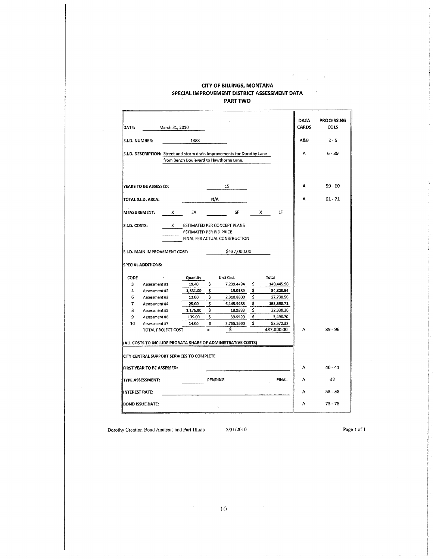#### **CITY OF BILLINGS, MONTANA** SPECIAL IMPROVEMENT DISTRICT ASSESSMENT DATA PART TWO

| DATE:                    |                                                                                                                                | March 31, 2010 |                                                                                   |                     |                                                                                                                        |                      |                                                             | <b>DATA</b><br><b>CARDS</b> | PROCESSING<br><b>COLS</b> |
|--------------------------|--------------------------------------------------------------------------------------------------------------------------------|----------------|-----------------------------------------------------------------------------------|---------------------|------------------------------------------------------------------------------------------------------------------------|----------------------|-------------------------------------------------------------|-----------------------------|---------------------------|
| S.I.D. NUMBER:           |                                                                                                                                |                | 1388                                                                              |                     |                                                                                                                        |                      |                                                             | A&B                         | $2 - 5$                   |
|                          |                                                                                                                                |                |                                                                                   |                     | S.I.D. DESCRIPTION: Street and storm drain Improvements for Dorothy Lane<br>from Bench Boulevard to Hawthorne Lane.    |                      |                                                             | A                           | $6 - 39$                  |
|                          | YEARS TO BE ASSESSED:                                                                                                          |                |                                                                                   |                     | 15                                                                                                                     |                      |                                                             | A                           | $59 - 60$                 |
|                          | TOTAL S.I.D. AREA:                                                                                                             |                |                                                                                   | N/A                 |                                                                                                                        |                      |                                                             | A                           | $61 - 71$                 |
| <b>MEASUREMENT:</b>      |                                                                                                                                | X.             | EA                                                                                |                     | SF                                                                                                                     |                      | LF<br>X.                                                    |                             |                           |
| CODE<br>з<br>4<br>6<br>7 | S.I.D. MAIN IMPROVEMENT COST:<br><b>SPECIAL ADDITIONS:</b><br>Assessment #1<br>Assessment #2<br>Assessment #3<br>Assessment #4 |                | <b>ESTIMATED PER BID PRICE</b><br>Quantity<br>19.40<br>1,831.00<br>12.00<br>25.00 | \$<br>\$<br>\$<br>Ś | FINAL PER ACTUAL CONSTRUCTION<br>\$437,000.00<br><b>Unit Cost</b><br>7,239.4794<br>19.0189<br>2,310.8800<br>6,143.9485 | \$<br>\$<br>\$<br>\$ | Total<br>140,445.90<br>34,823.54<br>27,730.56<br>153,598.71 |                             |                           |
| 8<br>9                   | Assessment #5<br>Assessment #6                                                                                                 |                | 1,176.00<br>139.00                                                                | \$<br>\$            | 18.9883<br>39.5590                                                                                                     | \$<br>\$             | 22,330.26<br>5,498.70                                       |                             |                           |
| 10                       | Assessment #7                                                                                                                  |                | 14.00                                                                             | \$                  | 3,755.1660                                                                                                             | \$                   | 52,572.32                                                   |                             |                           |
|                          | TOTAL PROJECT COST                                                                                                             |                |                                                                                   | $\equiv$            | Ś                                                                                                                      |                      | 437,000.00                                                  | A                           | $89 - 96$                 |
|                          |                                                                                                                                |                | CITY CENTRAL SUPPORT SERVICES TO COMPLETE                                         |                     | (ALL COSTS TO INCLUDE PRORATA SHARE OF ADMINISTRATIVE COSTS)                                                           |                      |                                                             |                             |                           |
|                          | FIRST YEAR TO BE ASSESSED:                                                                                                     |                |                                                                                   |                     |                                                                                                                        |                      |                                                             | А                           | $40 - 41$                 |
|                          | <b>TYPE ASSESSMENT:</b>                                                                                                        |                |                                                                                   | <b>PENDING</b>      |                                                                                                                        |                      | <b>FINAL</b>                                                | A                           | 42                        |
| <b>INTEREST RATE:</b>    |                                                                                                                                |                |                                                                                   |                     |                                                                                                                        |                      |                                                             | Α                           | $53 - 58$                 |
|                          | <b>BOND ISSUE DATE:</b>                                                                                                        |                |                                                                                   |                     |                                                                                                                        |                      |                                                             | А                           | $73 - 78$                 |

Dorothy Creation Bond Analysis and Part III.xls

3/31/2010

Page  $1\,\,\mathrm{of}\,\,1$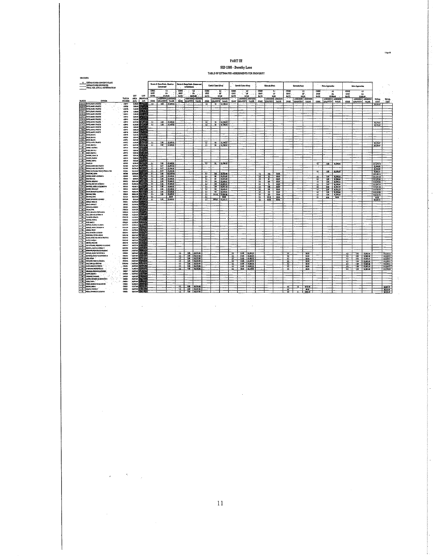PART III

 $_{\rm 14\mu\text{-}10}$ 

 $\ddot{\phantom{0}}$ 

 $\bar{\alpha}$ 

sib costs

 $\sim 10^7$ 

 $\mathcal{L}^{\text{max}}_{\text{max}}$ 

 $\sim$ 

 $\overline{\phantom{a}}$ 

SID 1388 - Dorothy Lane TABLE OF ESTIMATED ASSESSMENTS PER PROPERTY

| X ESTIMATE PER CONCEPT PLANS<br><b>ESTUARTE PER BID PRICES</b><br>FINAL PER ACTUAL CONSTRUCTION |                           |                                |                                |                                | Street & Street Orsiz - Boach to<br>Cattaneed |                                   |                                     | to Brithams                       | Stricts & Sterm Drain-Center-sed  |                                            | Cuts & Court (Rev)            |                                  |                                    | Carb & Gater (New) |                                     |                                    | Silentik (Nev)                  |                                   |                                                    | Stevensk (Nev)          |                             |                                  | Drive Approaches        |                                   |                                   | <b>Brist Approache</b>     |                                   |                           |                            |
|-------------------------------------------------------------------------------------------------|---------------------------|--------------------------------|--------------------------------|--------------------------------|-----------------------------------------------|-----------------------------------|-------------------------------------|-----------------------------------|-----------------------------------|--------------------------------------------|-------------------------------|----------------------------------|------------------------------------|--------------------|-------------------------------------|------------------------------------|---------------------------------|-----------------------------------|----------------------------------------------------|-------------------------|-----------------------------|----------------------------------|-------------------------|-----------------------------------|-----------------------------------|----------------------------|-----------------------------------|---------------------------|----------------------------|
|                                                                                                 |                           | LOT                            | LOT                            | CODE<br>tam<br>RATE            | EA<br>33,439.92                               | u,                                | CODE.<br><b>LEST</b><br><b>BATE</b> | 14 M                              | ाउ<br>56353.00                    | CODE<br><b>UNIT</b><br><b>BATC</b>         |                               | $\mathbf{r}$<br>u<br>51.6        | <b>CONT</b><br>$cm$<br><b>BATE</b> |                    | $^{22}$<br>u.<br>119.44             | mos.<br><b>UNIT</b><br><b>RATE</b> |                                 | 14<br>n,<br>\$4.00                | CODE<br>torn.<br><b>RATE</b>                       |                         | 32,<br>u.<br>543.91         | CODE<br>UNIT<br><b>BATE</b>      |                         | 48<br>EA<br>\$1,396.64            | CODE<br>u.ur<br><b>RATE</b>       |                            | य<br>EA<br>\$3,003.43             |                           |                            |
| PARCEL<br>OWNER                                                                                 | TAX LD.<br>NUMBER         | AREA<br>1551                   | <b>FRONTACE</b><br><b>CLEY</b> | CODE                           | ASSESSED ASSESSE<br>ottismyl                  | VALUE                             | $\tilde{\text{cont}}$               | ASSESSED ASSESSE<br>louward viare |                                   | <b>CODE</b>                                | QRANTITY                      | ASISSO ASISSED<br><b>YALUZ</b>   | CODE.                              | <b>QUATITY</b>     | ASSESSED ASSESSED<br>VALUE          | CODE                               | <b>DUANTITY</b>                 | ASSESSED ASSESSED<br><b>VALUE</b> | CODE                                               | <b>OULNUTTY</b>         | ASSESSED ASSESSED<br>YALIDE | <b>CODE</b>                      | OLANTIY                 | <b>ASSISIED ASSESSED</b><br>VALUE | $_{\text{cont}}$                  | QUARTITY                   | ASJESSED ASSESSED<br><b>YALVE</b> | TOTAL<br>COST             | TOTAL<br>COST              |
| STATE FORM AWAYS INJURIE<br>POTTS, SANTES PRISTER<br>Sep 2                                      | A20777<br>ANTH            | <b>LOLD (STRAS</b><br>780840 B |                                | Ħ                              | $\overline{\mathbf{5}}$                       | 77, 43, 62                        |                                     |                                   |                                   | $\overline{\mathbf{u}}$                    |                               | $91 - 31,3045$                   |                                    |                    |                                     |                                    |                                 |                                   |                                                    |                         |                             |                                  |                         |                                   |                                   |                            |                                   | 39,279.17                 |                            |
| - 17<br>MATEL ANNES FRUSTER                                                                     | amis.                     | 2,0000                         |                                |                                |                                               |                                   |                                     |                                   |                                   |                                            |                               |                                  |                                    |                    |                                     |                                    |                                 |                                   |                                                    |                         |                             |                                  |                         |                                   |                                   |                            |                                   |                           |                            |
| w.<br><b>POTTERANTS TRUSHS</b><br><b>STATISTICS</b> INTERNATIONAL                               | 421740<br>120213          | 7,170.00<br>7.125.00           |                                |                                |                                               |                                   |                                     |                                   |                                   |                                            |                               |                                  |                                    |                    |                                     |                                    |                                 |                                   |                                                    |                         |                             |                                  |                         |                                   |                                   |                            |                                   |                           |                            |
| ASIA ALAMA MARYS TRUSTEE<br><b>2410 Jolls Mars Truster</b>                                      | 120742<br>42043           | 7,001.00<br>7,621.00           |                                |                                |                                               |                                   |                                     |                                   |                                   |                                            |                               |                                  |                                    |                    |                                     |                                    |                                 |                                   |                                                    |                         |                             |                                  |                         |                                   |                                   |                            |                                   |                           |                            |
| <b>CALL FORTS MARKETER</b>                                                                      | <b>ATTAC</b>              | enzol                          |                                | 11                             |                                               | $100 - 374967$                    |                                     |                                   |                                   | 21                                         |                               | 11 13,790.45                     |                                    |                    |                                     |                                    |                                 |                                   |                                                    |                         |                             |                                  |                         |                                   |                                   |                            |                                   | 99,279,47                 |                            |
| EPACE DOME BANK STRATER<br><b>CENTER POTTS MAKER STRASTIC</b>                                   | 4206<br>AZRIM             | 0.225.00<br>102100             |                                | $\overline{u}$                 | J.D.                                          | \$1,499.02                        |                                     |                                   |                                   | -11                                        |                               | $11 - 31,70.45$                  |                                    |                    |                                     |                                    |                                 |                                   |                                                    |                         |                             |                                  |                         |                                   |                                   |                            |                                   | 39.279.47                 |                            |
| Collect POTTS, MARIN TRUSTLE<br><b>AND ORTHUMSTRIPS</b>                                         | ANNO<br><b>A10748</b>     | 7,03.02<br>2,559.00            |                                |                                |                                               |                                   |                                     |                                   |                                   |                                            |                               |                                  |                                    |                    |                                     |                                    |                                 |                                   |                                                    |                         |                             |                                  |                         |                                   |                                   |                            |                                   |                           |                            |
| <b>SID-Tuest cane</b>                                                                           | <b>A11745</b>             | 230600                         |                                |                                |                                               |                                   |                                     |                                   |                                   |                                            |                               |                                  |                                    |                    |                                     |                                    |                                 |                                   |                                                    |                         |                             |                                  |                         |                                   |                                   |                            |                                   |                           |                            |
| <b>CHEF MILLIONS</b><br><b>SIS</b> PICKE MITC                                                   | 48756<br>421751           | 1,054.00<br>10100              |                                |                                |                                               |                                   |                                     |                                   |                                   |                                            |                               |                                  |                                    |                    |                                     |                                    |                                 |                                   |                                                    |                         |                             |                                  |                         |                                   |                                   |                            |                                   |                           |                            |
| <b>CIGN FIRTS MAR STRUSTS</b><br>- 17. PICKL MITCH                                              | ANDS2<br>425755           | 12/100<br>amml                 |                                | $\mathbf{u}$<br>° LE           |                                               | 105 12,070<br>1.00 57,429.02      |                                     |                                   |                                   | - 23<br>$\overline{11}$                    |                               | $9! - 51,799,45$<br>91 51,790-15 |                                    |                    |                                     |                                    |                                 |                                   |                                                    |                         |                             |                                  |                         |                                   |                                   |                            |                                   | 59, 779, 47<br>39,279,67  |                            |
| .: It: Januar sustees                                                                           | <b>A22754</b>             | 2,055.00                       |                                |                                |                                               |                                   |                                     |                                   |                                   |                                            |                               |                                  |                                    |                    |                                     |                                    |                                 |                                   |                                                    |                         |                             |                                  |                         |                                   |                                   |                            |                                   |                           |                            |
| - CISC MORE ARTICLE<br>For 2017 Incident executives                                             | A2015<br>420725           | 7,051.00<br>2,022.00           |                                |                                |                                               |                                   |                                     |                                   |                                   |                                            |                               |                                  |                                    |                    |                                     |                                    |                                 |                                   |                                                    |                         |                             |                                  |                         |                                   |                                   |                            |                                   |                           |                            |
| 2021 MODEL DOLL'S<br>-22 September 2020                                                         | ABIN<br>12071             | 10400<br>1,025.00              |                                |                                |                                               |                                   |                                     |                                   |                                   |                                            |                               |                                  |                                    |                    |                                     |                                    |                                 |                                   |                                                    |                         |                             |                                  |                         |                                   |                                   |                            |                                   |                           |                            |
| -- 23 - SHONE CORY A                                                                            | A20719                    | 7,0100                         |                                |                                |                                               |                                   |                                     |                                   |                                   |                                            |                               |                                  |                                    |                    |                                     |                                    |                                 |                                   |                                                    |                         |                             |                                  |                         |                                   |                                   |                            |                                   |                           |                            |
| N. PELO<br>1-25- COUNT AND ASSISTENCE                                                           | 420760<br><b>CEOLUS</b>   | 6,220.00<br>0.0233             |                                | דר<br>- 13                     | 100                                           | \$7,499.02<br>$65 - 5631$         |                                     |                                   |                                   | $\overline{u}$                             | Y.                            | \$1,790.45                       |                                    |                    |                                     |                                    |                                 |                                   |                                                    |                         |                             | Æ.                               | 149                     | 12,0956                           |                                   |                            |                                   | 311,670.50<br>13,04.05    |                            |
| <b>GANT TODAY MAY ANTIKETH</b><br><b>COZEL: ROOL SUIT-ANN TOOL &amp; TOSKA LYDE</b>             | com<br>(2015)             | <b>JUSEO</b><br><b>RUNE</b>    |                                | -11<br>$\overline{\mathbf{u}}$ | ar                                            | <b>0.0 ST-M2E</b><br><b>SLOKE</b> |                                     |                                   |                                   |                                            |                               |                                  |                                    |                    |                                     |                                    |                                 |                                   |                                                    |                         |                             |                                  |                         |                                   |                                   |                            |                                   | $5.04$ H                  |                            |
| "21" Journal town                                                                               | color                     | ziman                          |                                | $\overline{\mathbf{u}}$        | 300                                           | \$22,457.05                       |                                     |                                   |                                   | 23                                         |                               | 240 54,722.05                    |                                    |                    |                                     | $\overline{\mathbf{u}}$            | 76                              | 2000                              |                                                    |                         |                             | ग                                | 150                     | 23,14                             |                                   |                            |                                   | 55,0351<br>\$27,199.12    |                            |
| SHOP HOMES MARY A REPORTA<br><b>CONTROLLAR</b>                                                  | 0000<br>CRONATE           | 1,000.00<br>150546             |                                | $\overline{\mathbf{u}}$<br>-11 | $10^{\circ}$<br>100                           | \$7,419.00<br>17,499.02           |                                     |                                   |                                   | $\overline{21}$<br>$\overline{\mathbf{u}}$ | s,<br>$\overline{\mathbf{B}}$ | 51,514.02<br>51,672,40           |                                    |                    |                                     | $\overline{v}$<br>$-11$ .          | फ्र<br>$\overline{a}$           | 50,00<br>$-50.00$                 |                                                    |                         |                             | य<br>ব                           | $140 -$<br>ist -        | 12,192,55<br>1234.64              |                                   |                            |                                   | \$1,010<br>111,552.05     |                            |
| <b>POINT INCORPORATION</b><br>- THE RANG FOR WATCHES                                            | 00011<br>COM <sup>2</sup> | aumas<br>1004221               |                                | π<br>- 11                      |                                               | 1.00 1.77 419.00                  |                                     |                                   |                                   | $\overline{\mathbf{u}}$                    |                               | 125 双线组                          |                                    |                    |                                     | u                                  | 101                             | \$9.00                            |                                                    |                         |                             | ¢                                | $\overline{100}$        | 32,190.64                         |                                   |                            |                                   | \$12,119,06               |                            |
| <b>SUIS MATERS KIRLS DENNING</b>                                                                | conu                      | 45,0022                        |                                | $\overline{u}$                 | $\overline{100}$                              | 100 137,499.02<br>$17.07\%$       |                                     |                                   |                                   | - 21<br>$\overline{\mathbf{u}}$            |                               | $100 - 15352.53$<br>18 25129     |                                    |                    |                                     | $\overline{v}$<br>$-31$            | $\overline{\mathbf{r}}$<br>(25) | 200<br>500                        |                                                    |                         |                             | $\overline{u}$<br>ব              | $\overline{150}$<br>200 | 52,100.64<br>54,701.27            |                                   |                            |                                   | \$11,542.15<br>315231.58  |                            |
| <b>PENS MODERNMENT</b><br><b>APRES HOOD, KONNETT &amp; DORS K.</b>                              | come<br>COMMER            | nano?<br>umu.                  |                                | <b>u</b><br>᠊ᠷ                 | 100<br>100                                    | 12,419.02<br>157,00.00            |                                     |                                   |                                   | 71<br>$\overline{21}$                      | $\overline{125}$              | 2.49.41<br>115 2499.41           |                                    |                    |                                     | ਸ਼<br>n                            | 101<br>Ħ                        | 200<br>50,00                      |                                                    |                         |                             | $\overline{a}$<br>$\overline{u}$ | 2.00<br>1.00            | 54,781,27-<br>22, 193, 64         |                                   |                            |                                   | \$14,729.70<br>112,119.06 |                            |
| <b>ENCT CONNUL COM</b><br>GUNNAL CORA<br>510                                                    | <b>Chatter</b><br>CEREM   | <b>BALM</b><br>asual           |                                | $\overline{u}$<br>ਬ            | 100                                           | 1:17.473.02                       |                                     |                                   |                                   | $\overline{\mathbf{2}}$                    |                               | 10.15 12.156.95                  |                                    |                    |                                     | ≖                                  | $101 -$                         | 7259                              |                                                    |                         |                             | $\overline{u}$                   | 1,00                    | . \$2,993.64                      |                                   |                            |                                   | 112, 115, 22              |                            |
| Class Incom Antions & County                                                                    | contri-                   | smal                           |                                | w                              |                                               | ∐ 3950<br>1.00 57,439 57          |                                     |                                   |                                   | -21<br>n                                   |                               | m<br>19914 32, 161, 13           |                                    |                    |                                     | $\overline{\mathbf{u}}$<br>ম       | 29.16<br>5H                     | 55.00<br>50.00                    |                                                    |                         |                             | τ                                | 600                     | $-300$                            |                                   |                            |                                   | 5400<br>\$9,650.15        |                            |
| <b>OR STORIUS WORK H</b><br><b>TO - ROCK MASTER C</b>                                           | 00021<br>00022            | 14,700,00<br><b>ISLINAR</b>    |                                |                                |                                               |                                   |                                     |                                   |                                   |                                            |                               |                                  |                                    |                    |                                     |                                    |                                 |                                   |                                                    |                         |                             |                                  |                         |                                   |                                   |                            |                                   |                           |                            |
| <b>CITY LIQUAR, LUXON</b><br>22 SQUILLER                                                        | com<br>COMMA              | 103032<br>n.mot                |                                |                                |                                               |                                   |                                     |                                   |                                   |                                            |                               |                                  |                                    |                    |                                     |                                    |                                 |                                   |                                                    |                         |                             |                                  |                         |                                   |                                   |                            |                                   |                           |                            |
| ANST DAM, ADAMS & FIGHTANCE                                                                     | COD2H                     | 11,234.00                      |                                |                                |                                               |                                   |                                     |                                   |                                   |                                            |                               |                                  |                                    |                    |                                     |                                    |                                 |                                   |                                                    |                         |                             |                                  |                         |                                   |                                   |                            |                                   |                           |                            |
| <b>CALCOM MALE MERLY</b><br>-45 - Transtr, colubi                                               | conne<br>031130           | nausl<br><b>ITERRAL</b>        |                                |                                |                                               |                                   |                                     |                                   |                                   |                                            |                               |                                  |                                    |                    |                                     |                                    |                                 |                                   |                                                    |                         |                             |                                  |                         |                                   |                                   |                            |                                   |                           |                            |
| <b>CAS - MINOLO PLOVA</b><br>$\overline{\phantom{a}}$<br><b>RUSE MALLS L</b>                    | contro<br><b>CRUZU</b>    | umol<br>U.S.M.OD               |                                |                                |                                               |                                   |                                     |                                   |                                   |                                            |                               |                                  |                                    |                    |                                     |                                    |                                 |                                   |                                                    |                         |                             |                                  |                         |                                   |                                   |                            |                                   |                           |                            |
| <b>CONTRACTOR CONTRACTOR</b>                                                                    | control.                  | ussel                          |                                |                                |                                               |                                   |                                     |                                   |                                   |                                            |                               |                                  |                                    |                    |                                     |                                    |                                 |                                   |                                                    |                         |                             |                                  |                         |                                   |                                   |                            |                                   |                           |                            |
| 47 - SIGNER MAN ES SIGNI IX<br>34 - AMOLA TAKY                                                  | <b>COUNT</b><br>cosus     | 15,921.00<br>$1175$ m          |                                |                                |                                               |                                   |                                     |                                   |                                   |                                            |                               |                                  |                                    |                    |                                     |                                    |                                 |                                   |                                                    |                         |                             |                                  |                         |                                   |                                   |                            |                                   |                           |                            |
| 551- ROCKMEDICS HALF<br>52 - BORONCO, PETER & JOE O                                             | COSTALL<br>1003248        | um s<br>10171.00               |                                |                                |                                               |                                   |                                     |                                   |                                   |                                            |                               |                                  |                                    |                    |                                     |                                    |                                 |                                   |                                                    |                         |                             |                                  |                         |                                   |                                   |                            |                                   |                           |                            |
| $-55$ . Quest means even mones                                                                  | <b>COSTAC</b>             | 10171.00                       |                                |                                |                                               |                                   |                                     |                                   |                                   |                                            |                               |                                  |                                    |                    |                                     |                                    |                                 |                                   |                                                    |                         |                             |                                  |                         |                                   |                                   |                            |                                   |                           |                            |
| 731 - HIREANGLE<br>55 - <b>INVILADIAD</b>                                                       | 00140<br>control.         | te.175.00<br>10175-00          |                                |                                |                                               |                                   |                                     |                                   |                                   |                                            |                               |                                  |                                    |                    |                                     |                                    |                                 |                                   |                                                    |                         |                             |                                  |                         |                                   |                                   |                            |                                   |                           |                            |
| 545 WINNIFOUR RESERCT & BUSINE<br><b>STE NUOR DIRELBONDET</b>                                   | costie!<br>0003346        | 10.875.00<br>11/15.00          |                                |                                |                                               |                                   |                                     |                                   |                                   |                                            |                               |                                  |                                    |                    |                                     |                                    |                                 |                                   |                                                    |                         |                             |                                  |                         |                                   |                                   |                            |                                   |                           |                            |
| <b>732 BRUNN HOURGEOUSE</b>                                                                     | <b>COLUM</b>              | 100501                         |                                |                                |                                               |                                   |                                     |                                   |                                   |                                            |                               |                                  |                                    |                    |                                     |                                    |                                 |                                   |                                                    |                         |                             |                                  |                         |                                   |                                   |                            |                                   |                           |                            |
| -SP NOTREL MUSET & CHINERA<br><b>REAL PROPERTY AND A CALIFORNIA M</b>                           | came<br><b>COUNTER</b>    | 10.05.07<br>1007549            |                                |                                |                                               |                                   | $\overline{12}$<br>12               |                                   | 1.00 56,159,88<br>1.00 55,133.83  |                                            |                               |                                  | 77<br>$\overline{11}$              |                    | 51.00 51.005.55<br>51.00 \$1,001,55 |                                    |                                 |                                   | 12                                                 |                         | 500<br>50.00                |                                  |                         |                                   | $\overline{42}$<br>$\overline{a}$ | 100<br>$\overline{150}$    | 3.53.6<br>33,83,64                |                           | \$11,239.11<br>\$11,239.11 |
| - 61% LOCK ASIAN -<br>- 22 VOILUE FAID & BOWELL                                                 | couse<br>$-00110$ .       | 10223-00<br>$10.075 \pm 0.00$  |                                |                                |                                               |                                   | Ħ<br>$12 -$                         |                                   | $100 - 343334$<br>1.00 153,331,00 |                                            |                               |                                  | ü<br>$\overline{12}$               |                    | 51.00 51,001.55<br>51.00 51.001.55  |                                    |                                 |                                   | $\overline{12}$<br>$\overline{\mathbf{u}}$         |                         | 9800<br>59.00               |                                  |                         |                                   | 72<br>$\overline{a}$              | $-100$<br>$\overline{100}$ | 33,003,63                         |                           | 511,239.31                 |
| <b>COM DIRECTIONS</b>                                                                           | <b>Contact</b>            | $:$ signal                     |                                |                                |                                               |                                   | ≖                                   |                                   | $100 - 353332$                    |                                            |                               |                                  | $\overline{\boldsymbol{u}}$        |                    | 51.00 51.001.55                     |                                    |                                 |                                   | $\overline{\mathbf{u}}$                            |                         | 5200                        |                                  |                         |                                   | $\overline{42}$                   | ℡                          | 53,337,43<br>3.000                |                           | 31/231.11<br>\$1,200.1     |
| 1445 JANU, MANGE TOPP<br>245 TA HOWAG HIGHESTIC: 123".                                          | - cmazi<br>count          | santas E<br>11 min il          |                                |                                |                                               |                                   | $\overline{12}$<br>n.               |                                   | 1.07 56,153.20<br>$10 - 300.8$    |                                            |                               |                                  | $\overline{u}$                     | 2.2 500 51,1991    | \$1.00 \$51,001.55                  |                                    |                                 |                                   | $\overline{\mathbf{n}}$<br>$\overline{\mathbf{u}}$ |                         | 10.00<br>12.00              |                                  |                         |                                   | $\overline{12}$<br>42             | $\overline{5}$<br>1.00     | 7, 81, 64<br>7.004                |                           | \$11,239.11<br>311,776.53  |
| 66 WILPOX JOIN NEED TITLES<br>GT. JOURN BEDIA                                                   | comar<br>-contra          | 10.071.071<br>10,0546          |                                |                                |                                               |                                   |                                     |                                   |                                   |                                            |                               |                                  |                                    |                    |                                     |                                    |                                 |                                   |                                                    |                         |                             |                                  |                         |                                   |                                   |                            |                                   |                           |                            |
| ACCORDING TO A 197                                                                              | com                       | 15.000 m                       |                                |                                |                                               |                                   |                                     |                                   |                                   |                                            |                               |                                  |                                    |                    |                                     |                                    |                                 |                                   |                                                    |                         |                             |                                  |                         |                                   |                                   |                            |                                   |                           |                            |
| <b>EST- LARGE ROUNDS &amp; ROOLETTES</b><br>COPY ASSOCIATION                                    | <b>GIORN</b><br>.com      | 10,073.0750<br>1023.00         |                                |                                |                                               |                                   |                                     |                                   |                                   |                                            |                               |                                  |                                    |                    |                                     |                                    |                                 |                                   |                                                    |                         |                             |                                  |                         |                                   |                                   |                            |                                   |                           |                            |
| 171- PUGD, CEDROLIN IS CARDINE<br>$-72.$ RECOVERENT                                             | com)<br>com               | menas.<br><b>JANUAL REGIST</b> |                                |                                |                                               |                                   | $\overline{\mathbf{u}}$             | $100$ 31333.88                    |                                   |                                            |                               |                                  |                                    |                    |                                     |                                    |                                 |                                   | $\overline{\mathbf{u}}$                            | $\overline{\mathbf{5}}$ | \$533.60                    |                                  |                         |                                   |                                   |                            |                                   |                           | 56,967.51                  |
| 2.71 Count wood!                                                                                | come                      | 1047140                        |                                |                                |                                               |                                   |                                     | 12 10 333334                      |                                   |                                            |                               |                                  |                                    |                    |                                     |                                    |                                 |                                   | ᅲ                                                  |                         | 90                          |                                  |                         |                                   |                                   |                            |                                   |                           | \$5,000.                   |
| -124. INCOL EDWARD OR SUSAN M                                                                   | <b>CONZY</b>              | <b>Jasney</b>                  |                                |                                |                                               |                                   |                                     |                                   | $12$ $100$ $500.01$               |                                            |                               |                                  |                                    |                    |                                     |                                    |                                 |                                   | Þ                                                  | $\cdot$                 | 139.56                      |                                  |                         |                                   |                                   |                            |                                   |                           | 353145                     |

 $\sim$ 

 $\sim$ 

 $\sim$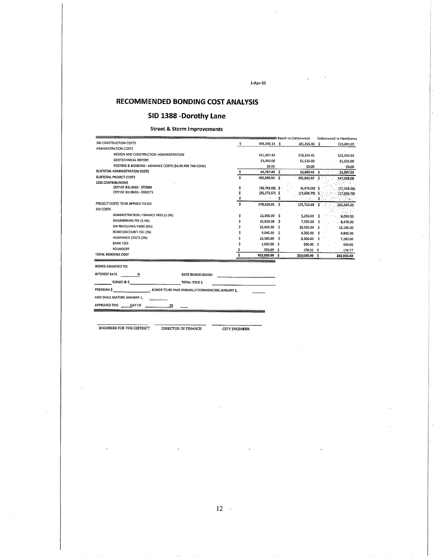### **RECOMMENDED BONDING COST ANALYSIS**

### SID 1388 -Dorothy Lane

#### **Street & Storm Improvements**

|                                                         |                                                   |    |                  | ≡ Bench to Cottonwood |     | Cottonwood to Hawthorn |
|---------------------------------------------------------|---------------------------------------------------|----|------------------|-----------------------|-----|------------------------|
| SID CONSTRUCTION COSTS                                  |                                                   | \$ | 405,646.11 \$    | 181,955.06 \$         |     | 223,691.05             |
| <b>ADMINISTRATION COSTS</b>                             |                                                   |    |                  |                       |     |                        |
| DESIGN AND CONSTRUCTION ADMINISTRATION                  |                                                   |    | \$41,697.43      | \$19,355.41           |     | \$22,342.03            |
| <b>GEOTECHNICAL REPORT</b>                              |                                                   |    | \$3,050.00       | \$1,525.00            |     | \$1,525.00             |
| POSTING & BONDING - ADVANCE COSTS (\$4.50 PER TAX CODE) |                                                   |    | 50.00            | \$0.00                |     | 50.00                  |
| SUBTOTAL ADMINISTRATION COSTS                           |                                                   | \$ | 44,747.43 \$     | 20,880.41 \$          |     | 23,867.03              |
| SUBTOTAL PROJECT COSTS                                  |                                                   | Ś  | 450,393.54 \$    | 202,835.47            |     | 247,558.08             |
| <b>LESS CONTRIBUTIONS</b>                               |                                                   |    |                  |                       |     |                        |
| CITY OF BILLINGS - STORM                                |                                                   | \$ | $(36,793.06)$ \$ | $(9,475.00)$ \$       |     | (27, 318.06)           |
| CITY OF BILLINGS - STREETS                              |                                                   | \$ | $(35,273.57)$ \$ | $(17,636.79)$ \$      |     | (17,636.79)            |
|                                                         |                                                   | \$ | \$               |                       |     | 分類など                   |
| PROJECT COSTS TO BE APPLIED TO SID                      |                                                   | Ś  | 378,326.91 \$    | 175,723.68            |     | 202,603.23             |
| <b>SID COSTS</b>                                        |                                                   |    |                  |                       |     |                        |
| ADMINISTRATION / FINANCE FEES (2.5%)                    |                                                   | \$ | 11,300.00 \$     | 5,250.00              |     | 6,050.00               |
| <b>ENGINEERING FEE (3.5%)</b>                           |                                                   | \$ | 15,820.00 \$     | 7,350.00              | s   | 8,470.00               |
| SID REVOLVING FUND (5%)                                 |                                                   |    | 22,600.00<br>-\$ | 10,500.00 \$          |     | 12,100.00              |
| BOND DISCOUNT FEE (2%)                                  |                                                   |    | 9,040.00 \$      | 4,200.00              | - 5 | 4,840.00               |
| INSURANCE COSTS (3%)                                    |                                                   |    | 13,560.00<br>-\$ | 6,300.00              | s   | 7,260.00               |
| <b>BANK FEES</b>                                        |                                                   |    | 1,000.00 \$      | 500.00 \$             |     | 500.00                 |
| <b>ROUNDOFF</b>                                         |                                                   |    | 353,09<br>ŝ      | 176.32 \$             |     | 176.77                 |
| TOTAL BONDING COST                                      |                                                   | \$ | 452,000.00 \$    | 210,000.00 \$         |     | 242,000.00             |
| <b>BONDS AWARDED TO:</b>                                |                                                   |    |                  |                       |     |                        |
| <b>INTEREST RATE</b><br>%                               | DATE BONDS ISSUED:                                |    |                  |                       |     |                        |
| BONDS @ \$                                              | <b>TOTAL ISSUE S</b>                              |    |                  |                       |     |                        |
| <b>PREMIUMS</b>                                         | - BONDS TO BE PAID ANNUALLY COMMENCING JANUARY 1, |    |                  |                       |     |                        |
| AND SHALL MATURE JANUARY 1,                             |                                                   |    |                  |                       |     |                        |
| <b>APPROVED THIS</b><br>DAY OF                          | 20                                                |    |                  |                       |     |                        |

 $1-Apr-10$ 

ENGINEER FOR THE DISTRICT

DIRECTOR OF FINANCE

**CITY ENGINEER**